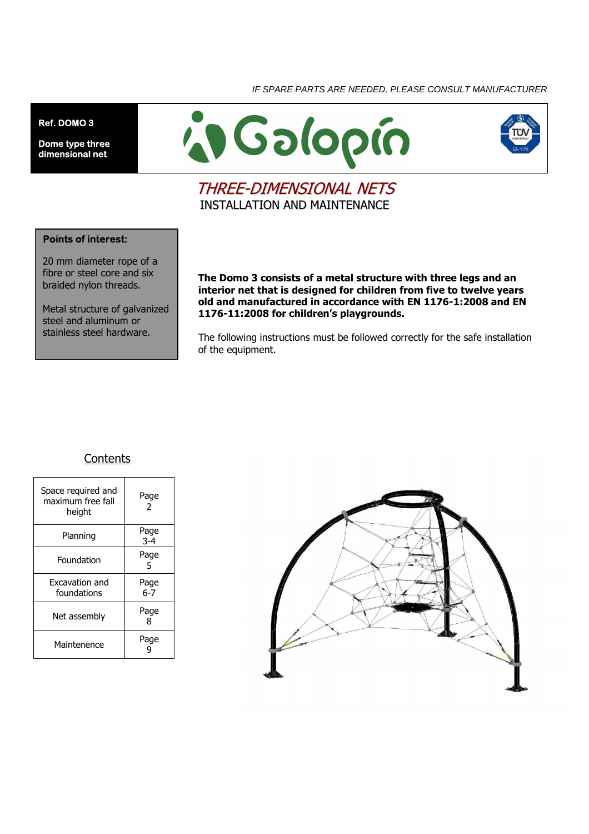IF SPARE PARTS ARE NEEDED, PLEASE CONSULT MANUFACTURER

**Ref. DOMO 3** 

**Dome type three dimensional net** 





## THREE-DIMENSIONAL NETS INSTALLATION AND MAINTENANCE

#### **Points of interest:**

20 mm diameter rope of a fibre or steel core and six braided nylon threads.

Metal structure of galvanized steel and aluminum or stainless steel hardware.

**The Domo 3 consists of a metal structure with three legs and an interior net that is designed for children from five to twelve years old and manufactured in accordance with EN 1176-1:2008 and EN 1176-11:2008 for children's playgrounds.** 

The following instructions must be followed correctly for the safe installation of the equipment.

### **Contents**

| Space required and<br>maximum free fall<br>height | Page<br>2       |
|---------------------------------------------------|-----------------|
| Planning                                          | Page<br>$3 - 4$ |
| Foundation                                        | Page<br>5       |
| Excavation and<br>foundations                     | Page<br>$6 - 7$ |
| Net assembly                                      | Page<br>8       |
| Maintenence                                       | Page            |

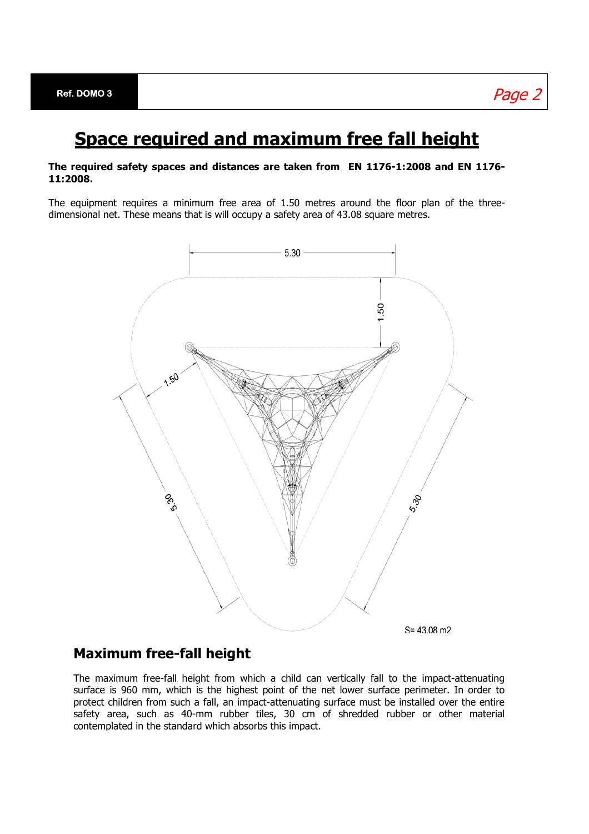## **Space required and maximum free fall height**

#### **The required safety spaces and distances are taken from EN 1176-1:2008 and EN 1176- 11:2008.**

The equipment requires a minimum free area of 1.50 metres around the floor plan of the threedimensional net. These means that is will occupy a safety area of 43.08 square metres.



### **Maximum free-fall height**

The maximum free-fall height from which a child can vertically fall to the impact-attenuating surface is 960 mm, which is the highest point of the net lower surface perimeter. In order to protect children from such a fall, an impact-attenuating surface must be installed over the entire safety area, such as 40-mm rubber tiles, 30 cm of shredded rubber or other material contemplated in the standard which absorbs this impact.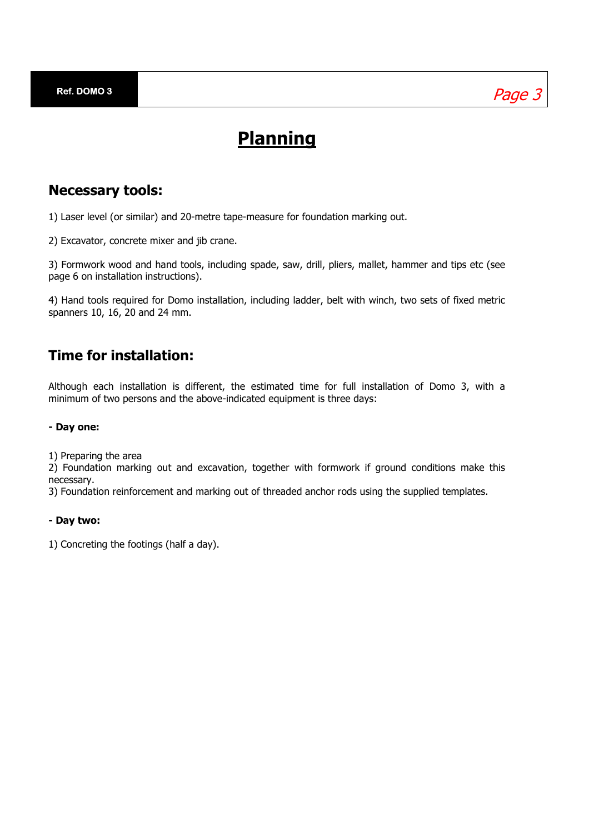# **Planning**

### **Necessary tools:**

1) Laser level (or similar) and 20-metre tape-measure for foundation marking out.

2) Excavator, concrete mixer and jib crane.

3) Formwork wood and hand tools, including spade, saw, drill, pliers, mallet, hammer and tips etc (see page 6 on installation instructions).

4) Hand tools required for Domo installation, including ladder, belt with winch, two sets of fixed metric spanners 10, 16, 20 and 24 mm.

### **Time for installation:**

Although each installation is different, the estimated time for full installation of Domo 3, with a minimum of two persons and the above-indicated equipment is three days:

#### **- Day one:**

1) Preparing the area

2) Foundation marking out and excavation, together with formwork if ground conditions make this necessary.

3) Foundation reinforcement and marking out of threaded anchor rods using the supplied templates.

#### **- Day two:**

1) Concreting the footings (half a day).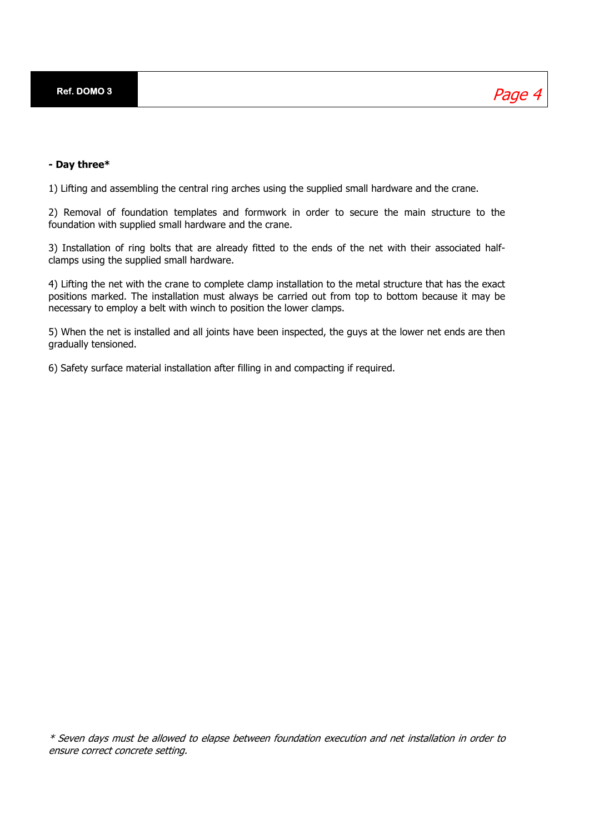**Ref. DOMO 3** 

Page 4

#### **- Day three\***

1) Lifting and assembling the central ring arches using the supplied small hardware and the crane.

2) Removal of foundation templates and formwork in order to secure the main structure to the foundation with supplied small hardware and the crane.

3) Installation of ring bolts that are already fitted to the ends of the net with their associated halfclamps using the supplied small hardware.

4) Lifting the net with the crane to complete clamp installation to the metal structure that has the exact positions marked. The installation must always be carried out from top to bottom because it may be necessary to employ a belt with winch to position the lower clamps.

5) When the net is installed and all joints have been inspected, the guys at the lower net ends are then gradually tensioned.

6) Safety surface material installation after filling in and compacting if required.

\* Seven days must be allowed to elapse between foundation execution and net installation in order to ensure correct concrete setting.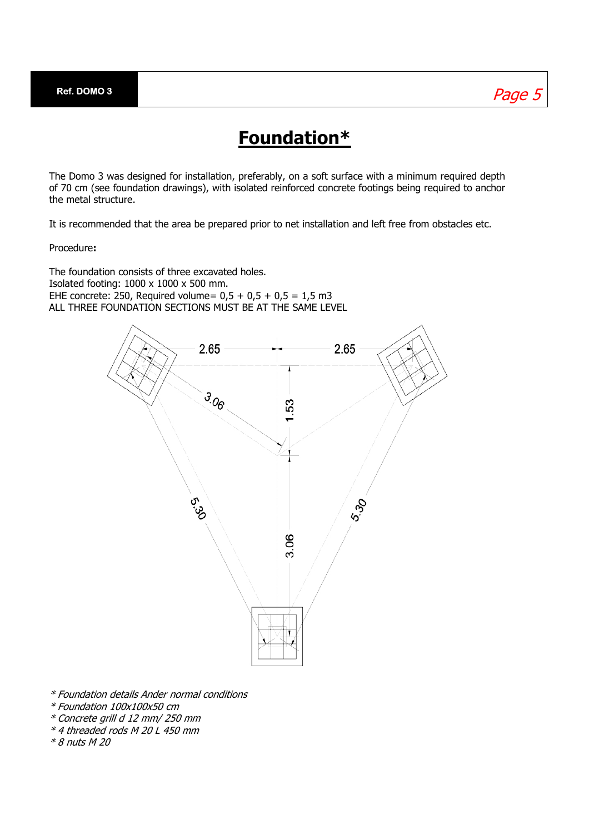## Page 5

## **Foundation\***

The Domo 3 was designed for installation, preferably, on a soft surface with a minimum required depth of 70 cm (see foundation drawings), with isolated reinforced concrete footings being required to anchor the metal structure.

It is recommended that the area be prepared prior to net installation and left free from obstacles etc.

Procedure**:** 

The foundation consists of three excavated holes. Isolated footing: 1000 x 1000 x 500 mm. EHE concrete: 250, Required volume=  $0.5 + 0.5 + 0.5 = 1.5$  m3 ALL THREE FOUNDATION SECTIONS MUST BE AT THE SAME LEVEL



\* Foundation details Ander normal conditions

- \* Foundation 100x100x50 cm
- \* Concrete grill d 12 mm/ 250 mm
- \* 4 threaded rods M 20 L 450 mm
- \* 8 nuts M 20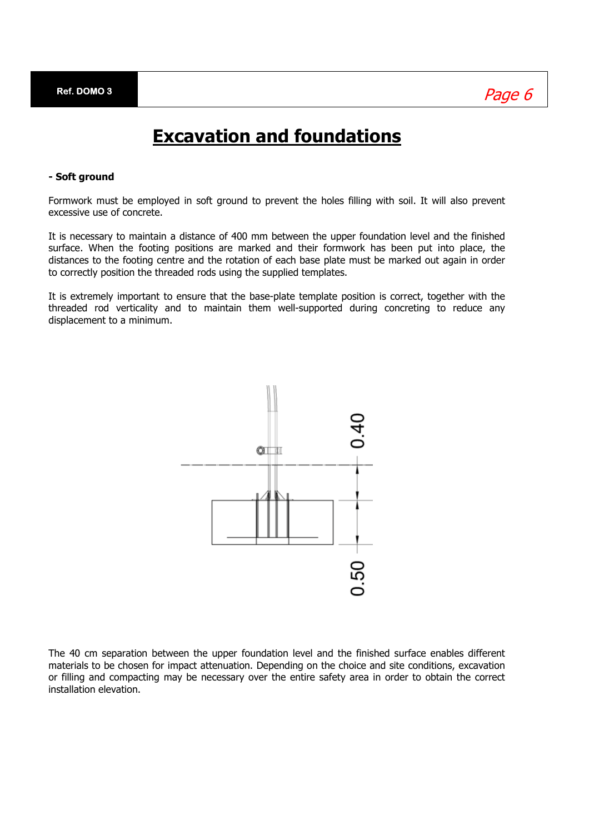# **Excavation and foundations**

#### **- Soft ground**

Formwork must be employed in soft ground to prevent the holes filling with soil. It will also prevent excessive use of concrete.

It is necessary to maintain a distance of 400 mm between the upper foundation level and the finished surface. When the footing positions are marked and their formwork has been put into place, the distances to the footing centre and the rotation of each base plate must be marked out again in order to correctly position the threaded rods using the supplied templates.

It is extremely important to ensure that the base-plate template position is correct, together with the threaded rod verticality and to maintain them well-supported during concreting to reduce any displacement to a minimum.



The 40 cm separation between the upper foundation level and the finished surface enables different materials to be chosen for impact attenuation. Depending on the choice and site conditions, excavation or filling and compacting may be necessary over the entire safety area in order to obtain the correct installation elevation.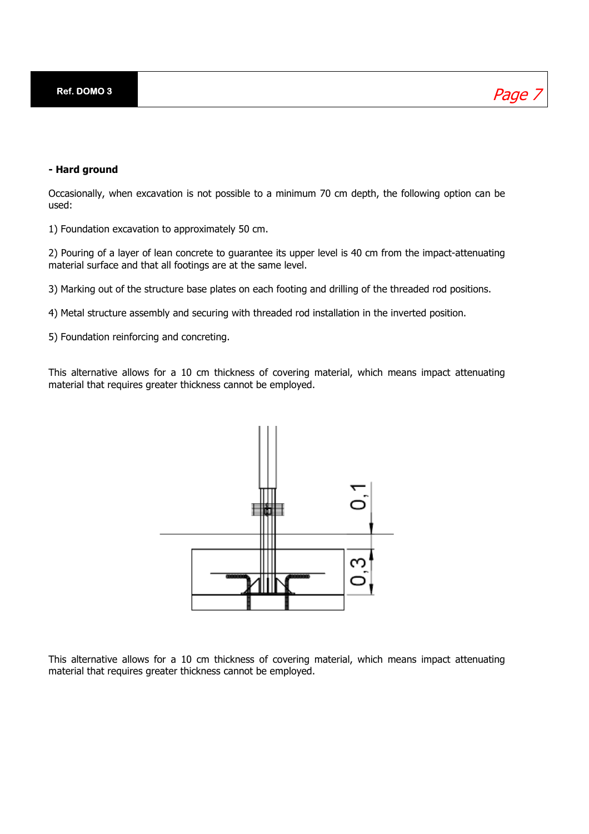### Page

#### **- Hard ground**

Occasionally, when excavation is not possible to a minimum 70 cm depth, the following option can be used:

1) Foundation excavation to approximately 50 cm.

2) Pouring of a layer of lean concrete to guarantee its upper level is 40 cm from the impact-attenuating material surface and that all footings are at the same level.

3) Marking out of the structure base plates on each footing and drilling of the threaded rod positions.

4) Metal structure assembly and securing with threaded rod installation in the inverted position.

5) Foundation reinforcing and concreting.

This alternative allows for a 10 cm thickness of covering material, which means impact attenuating material that requires greater thickness cannot be employed.



This alternative allows for a 10 cm thickness of covering material, which means impact attenuating material that requires greater thickness cannot be employed.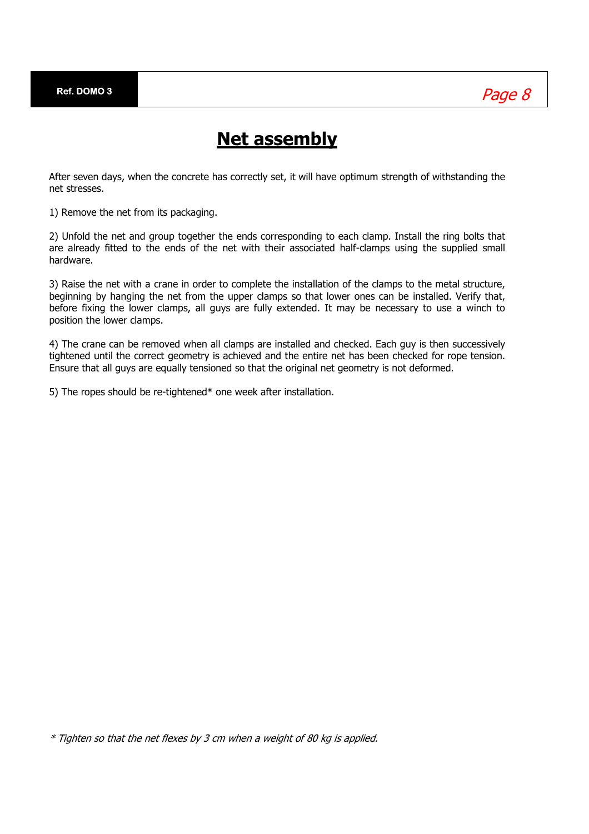

## **Net assembly**

After seven days, when the concrete has correctly set, it will have optimum strength of withstanding the net stresses.

1) Remove the net from its packaging.

2) Unfold the net and group together the ends corresponding to each clamp. Install the ring bolts that are already fitted to the ends of the net with their associated half-clamps using the supplied small hardware.

3) Raise the net with a crane in order to complete the installation of the clamps to the metal structure, beginning by hanging the net from the upper clamps so that lower ones can be installed. Verify that, before fixing the lower clamps, all guys are fully extended. It may be necessary to use a winch to position the lower clamps.

4) The crane can be removed when all clamps are installed and checked. Each guy is then successively tightened until the correct geometry is achieved and the entire net has been checked for rope tension. Ensure that all guys are equally tensioned so that the original net geometry is not deformed.

5) The ropes should be re-tightened\* one week after installation.

\* Tighten so that the net flexes by 3 cm when a weight of 80 kg is applied.